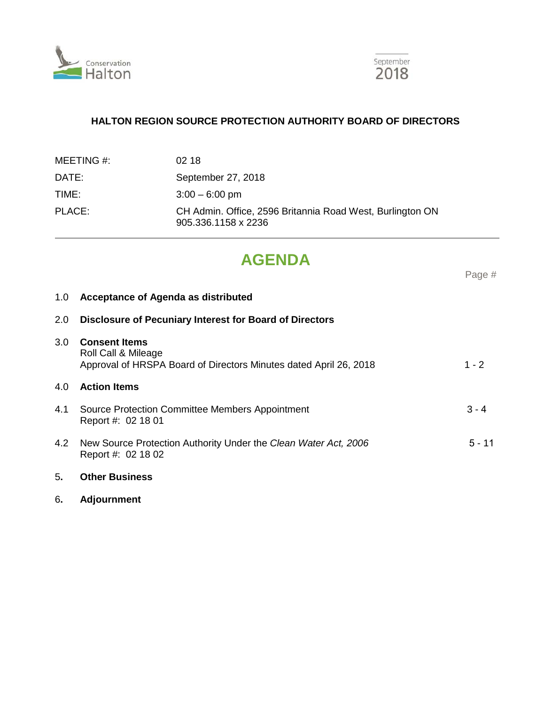



# **HALTON REGION SOURCE PROTECTION AUTHORITY BOARD OF DIRECTORS**

| MEETING #: | 02 18                                                                            |
|------------|----------------------------------------------------------------------------------|
| DATE:      | September 27, 2018                                                               |
| TIME:      | $3:00 - 6:00$ pm                                                                 |
| PLACE:     | CH Admin. Office, 2596 Britannia Road West, Burlington ON<br>905.336.1158 x 2236 |

# **AGENDA**

Page #

# 1.0 **Acceptance of Agenda as distributed**

| 2.0 | <b>Disclosure of Pecuniary Interest for Board of Directors</b>                                                   |          |  |
|-----|------------------------------------------------------------------------------------------------------------------|----------|--|
| 3.0 | <b>Consent Items</b><br>Roll Call & Mileage<br>Approval of HRSPA Board of Directors Minutes dated April 26, 2018 | $1 - 2$  |  |
| 4.0 | <b>Action Items</b>                                                                                              |          |  |
| 4.1 | Source Protection Committee Members Appointment<br>Report #: 02 18 01                                            | $3 - 4$  |  |
| 4.2 | New Source Protection Authority Under the Clean Water Act, 2006<br>Report #: 02 18 02                            | $5 - 11$ |  |
| 5.  | <b>Other Business</b>                                                                                            |          |  |

- 
- 6**. Adjournment**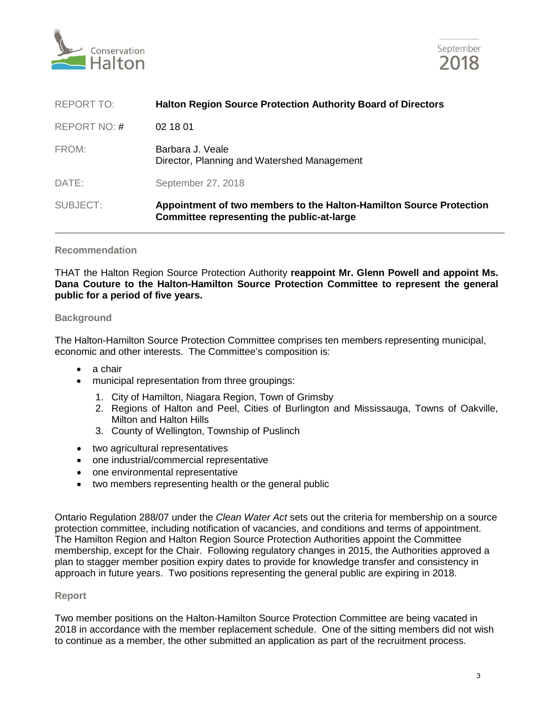



| SUBJECT:          | Appointment of two members to the Halton-Hamilton Source Protection<br>Committee representing the public-at-large |  |
|-------------------|-------------------------------------------------------------------------------------------------------------------|--|
| DATE:             | September 27, 2018                                                                                                |  |
| FROM:             | Barbara J. Veale<br>Director, Planning and Watershed Management                                                   |  |
| REPORT NO: #      | 02 18 01                                                                                                          |  |
| <b>REPORT TO:</b> | <b>Halton Region Source Protection Authority Board of Directors</b>                                               |  |

#### **Recommendation**

THAT the Halton Region Source Protection Authority **reappoint Mr. Glenn Powell and appoint Ms. Dana Couture to the Halton-Hamilton Source Protection Committee to represent the general public for a period of five years.**

## **Background**

The Halton-Hamilton Source Protection Committee comprises ten members representing municipal, economic and other interests. The Committee's composition is:

- a chair
- municipal representation from three groupings:
	- 1. City of Hamilton, Niagara Region, Town of Grimsby
	- 2. Regions of Halton and Peel, Cities of Burlington and Mississauga, Towns of Oakville, Milton and Halton Hills
	- 3. County of Wellington, Township of Puslinch
- two agricultural representatives
- one industrial/commercial representative
- one environmental representative
- two members representing health or the general public

Ontario Regulation 288/07 under the *Clean Water Act* sets out the criteria for membership on a source protection committee, including notification of vacancies, and conditions and terms of appointment. The Hamilton Region and Halton Region Source Protection Authorities appoint the Committee membership, except for the Chair. Following regulatory changes in 2015, the Authorities approved a plan to stagger member position expiry dates to provide for knowledge transfer and consistency in approach in future years. Two positions representing the general public are expiring in 2018.

#### **Report**

Two member positions on the Halton-Hamilton Source Protection Committee are being vacated in 2018 in accordance with the member replacement schedule. One of the sitting members did not wish to continue as a member, the other submitted an application as part of the recruitment process.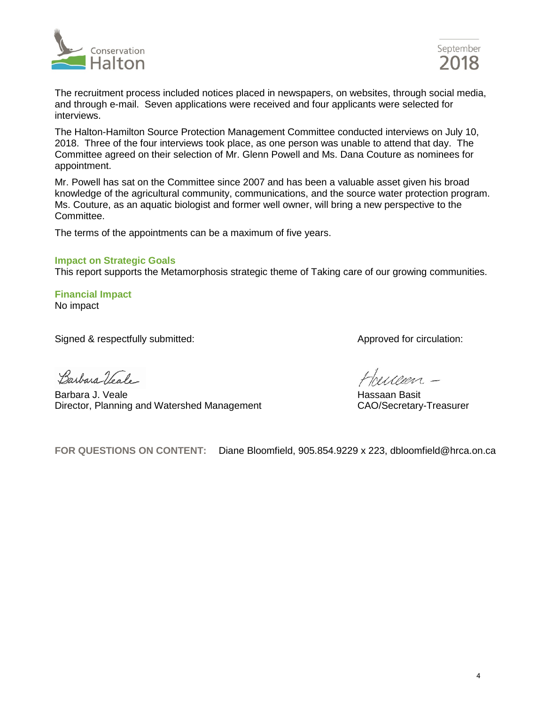



The recruitment process included notices placed in newspapers, on websites, through social media, and through e-mail. Seven applications were received and four applicants were selected for interviews.

The Halton-Hamilton Source Protection Management Committee conducted interviews on July 10, 2018. Three of the four interviews took place, as one person was unable to attend that day. The Committee agreed on their selection of Mr. Glenn Powell and Ms. Dana Couture as nominees for appointment.

Mr. Powell has sat on the Committee since 2007 and has been a valuable asset given his broad knowledge of the agricultural community, communications, and the source water protection program. Ms. Couture, as an aquatic biologist and former well owner, will bring a new perspective to the Committee.

The terms of the appointments can be a maximum of five years.

#### **Impact on Strategic Goals**

This report supports the Metamorphosis strategic theme of Taking care of our growing communities.

**Financial Impact** No impact

Signed & respectfully submitted:  $\blacksquare$  Approved for circulation:

Barbara Veale-

Barbara J. Veale **Hassaan Basit Seles and Seles And The Hassaan Basit** New York Hassaan Basit Director, Planning and Watershed Management CAO/Secretary-Treasurer

**FOR QUESTIONS ON CONTENT:** Diane Bloomfield, 905.854.9229 x 223, dbloomfield@hrca.on.ca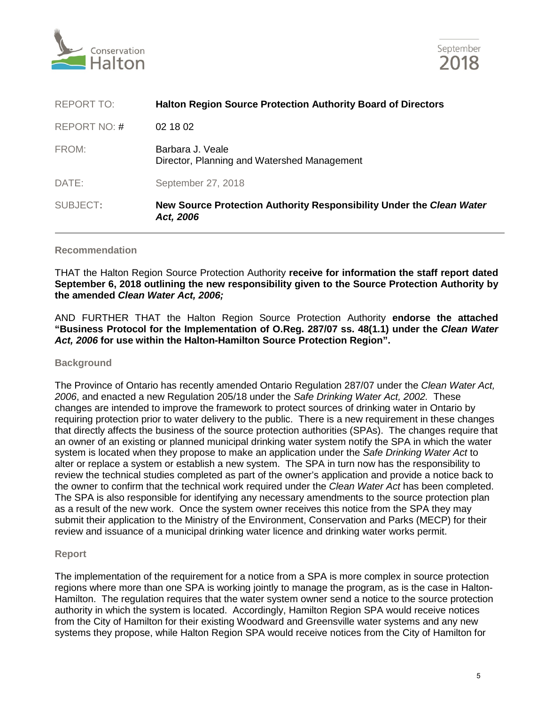



| SUBJECT:          | New Source Protection Authority Responsibility Under the Clean Water<br>Act, 2006 |  |
|-------------------|-----------------------------------------------------------------------------------|--|
| DATE:             | September 27, 2018                                                                |  |
| FROM:             | Barbara J. Veale<br>Director, Planning and Watershed Management                   |  |
| REPORT NO: #      | 02 18 02                                                                          |  |
| <b>REPORT TO:</b> | <b>Halton Region Source Protection Authority Board of Directors</b>               |  |

#### **Recommendation**

THAT the Halton Region Source Protection Authority **receive for information the staff report dated September 6, 2018 outlining the new responsibility given to the Source Protection Authority by the amended** *Clean Water Act, 2006;*

AND FURTHER THAT the Halton Region Source Protection Authority **endorse the attached "Business Protocol for the Implementation of O.Reg. 287/07 ss. 48(1.1) under the** *Clean Water Act, 2006* **for use within the Halton-Hamilton Source Protection Region".** 

#### **Background**

The Province of Ontario has recently amended Ontario Regulation 287/07 under the *Clean Water Act, 2006*, and enacted a new Regulation 205/18 under the *Safe Drinking Water Act, 2002.* These changes are intended to improve the framework to protect sources of drinking water in Ontario by requiring protection prior to water delivery to the public. There is a new requirement in these changes that directly affects the business of the source protection authorities (SPAs). The changes require that an owner of an existing or planned municipal drinking water system notify the SPA in which the water system is located when they propose to make an application under the *Safe Drinking Water Act* to alter or replace a system or establish a new system. The SPA in turn now has the responsibility to review the technical studies completed as part of the owner's application and provide a notice back to the owner to confirm that the technical work required under the *Clean Water Act* has been completed. The SPA is also responsible for identifying any necessary amendments to the source protection plan as a result of the new work. Once the system owner receives this notice from the SPA they may submit their application to the Ministry of the Environment, Conservation and Parks (MECP) for their review and issuance of a municipal drinking water licence and drinking water works permit.

#### **Report**

The implementation of the requirement for a notice from a SPA is more complex in source protection regions where more than one SPA is working jointly to manage the program, as is the case in Halton-Hamilton. The regulation requires that the water system owner send a notice to the source protection authority in which the system is located. Accordingly, Hamilton Region SPA would receive notices from the City of Hamilton for their existing Woodward and Greensville water systems and any new systems they propose, while Halton Region SPA would receive notices from the City of Hamilton for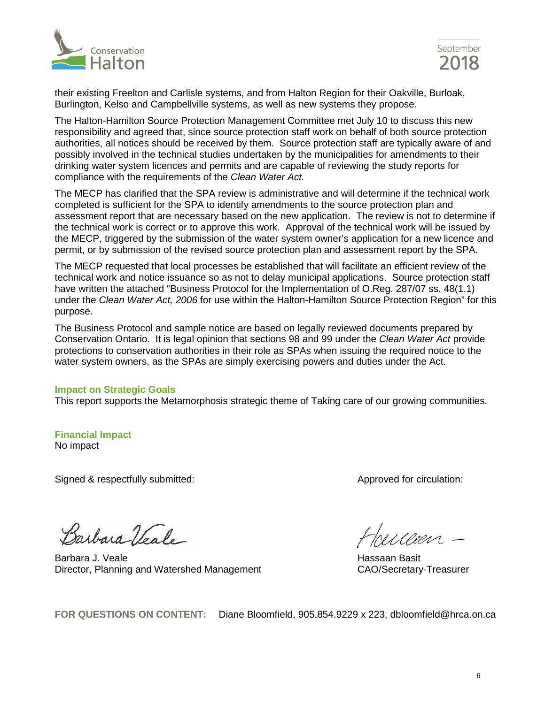



their existing Freelton and Carlisle systems, and from Halton Region for their Oakville, Burloak, Burlington, Kelso and Campbellville systems, as well as new systems they propose.

The Halton-Hamilton Source Protection Management Committee met July 10 to discuss this new responsibility and agreed that, since source protection staff work on behalf of both source protection authorities, all notices should be received by them. Source protection staff are typically aware of and possibly involved in the technical studies undertaken by the municipalities for amendments to their drinking water system licences and permits and are capable of reviewing the study reports for compliance with the requirements of the *Clean Water Act.* 

The MECP has clarified that the SPA review is administrative and will determine if the technical work completed is sufficient for the SPA to identify amendments to the source protection plan and assessment report that are necessary based on the new application. The review is not to determine if the technical work is correct or to approve this work. Approval of the technical work will be issued by the MECP, triggered by the submission of the water system owner's application for a new licence and permit, or by submission of the revised source protection plan and assessment report by the SPA.

The MECP requested that local processes be established that will facilitate an efficient review of the technical work and notice issuance so as not to delay municipal applications. Source protection staff have written the attached "Business Protocol for the Implementation of O.Reg. 287/07 ss. 48(1.1) under the *Clean Water Act, 2006* for use within the Halton-Hamilton Source Protection Region" for this purpose.

The Business Protocol and sample notice are based on legally reviewed documents prepared by Conservation Ontario. It is legal opinion that sections 98 and 99 under the *Clean Water Act* provide protections to conservation authorities in their role as SPAs when issuing the required notice to the water system owners, as the SPAs are simply exercising powers and duties under the Act.

#### **Impact on Strategic Goals**

This report supports the Metamorphosis strategic theme of Taking care of our growing communities.

#### **Financial Impact** No impact

Signed & respectfully submitted:  $\blacksquare$  Approved for circulation:

Barbara Veale

Barbara J. Veale<br>Director, Planning and Watershed Management CAO/Secretary-Treasurer Director, Planning and Watershed Management

Howeven -

**FOR QUESTIONS ON CONTENT:** Diane Bloomfield, 905.854.9229 x 223, dbloomfield@hrca.on.ca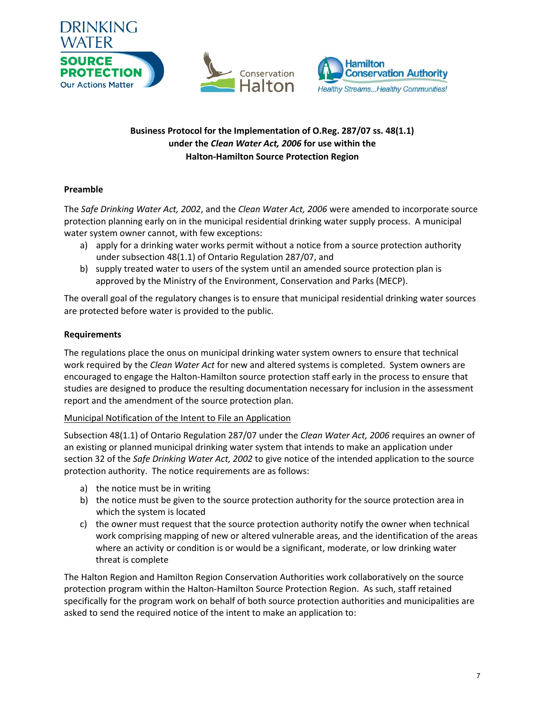

## **Business Protocol for the Implementation of O.Reg. 287/07 ss. 48(1.1) under the** *Clean Water Act, 2006* **for use within the Halton-Hamilton Source Protection Region**

## **Preamble**

The *Safe Drinking Water Act, 2002*, and the *Clean Water Act, 2006* were amended to incorporate source protection planning early on in the municipal residential drinking water supply process. A municipal water system owner cannot, with few exceptions:

- a) apply for a drinking water works permit without a notice from a source protection authority under subsection 48(1.1) of Ontario Regulation 287/07, and
- b) supply treated water to users of the system until an amended source protection plan is approved by the Ministry of the Environment, Conservation and Parks (MECP).

The overall goal of the regulatory changes is to ensure that municipal residential drinking water sources are protected before water is provided to the public.

## **Requirements**

The regulations place the onus on municipal drinking water system owners to ensure that technical work required by the *Clean Water Act* for new and altered systems is completed. System owners are encouraged to engage the Halton-Hamilton source protection staff early in the process to ensure that studies are designed to produce the resulting documentation necessary for inclusion in the assessment report and the amendment of the source protection plan.

#### Municipal Notification of the Intent to File an Application

Subsection 48(1.1) of Ontario Regulation 287/07 under the *Clean Water Act, 2006* requires an owner of an existing or planned municipal drinking water system that intends to make an application under section 32 of the *Safe Drinking Water Act, 2002* to give notice of the intended application to the source protection authority. The notice requirements are as follows:

- a) the notice must be in writing
- b) the notice must be given to the source protection authority for the source protection area in which the system is located
- c) the owner must request that the source protection authority notify the owner when technical work comprising mapping of new or altered vulnerable areas, and the identification of the areas where an activity or condition is or would be a significant, moderate, or low drinking water threat is complete

The Halton Region and Hamilton Region Conservation Authorities work collaboratively on the source protection program within the Halton-Hamilton Source Protection Region. As such, staff retained specifically for the program work on behalf of both source protection authorities and municipalities are asked to send the required notice of the intent to make an application to: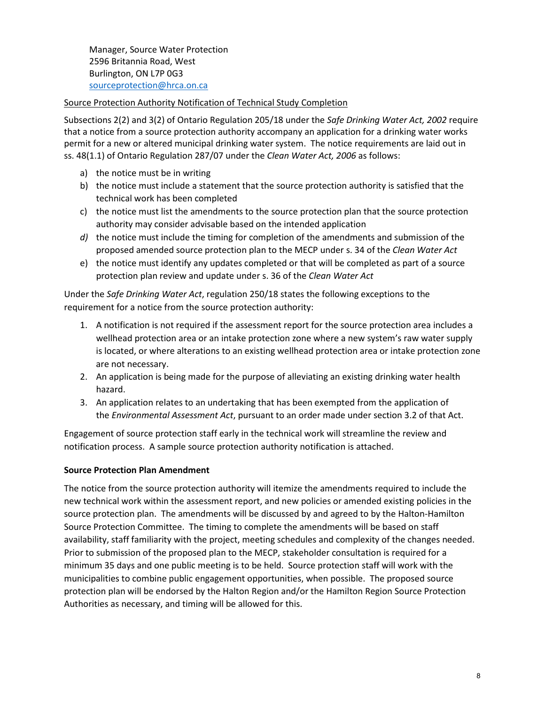Manager, Source Water Protection 2596 Britannia Road, West Burlington, ON L7P 0G3 [sourceprotection@hrca.on.ca](mailto:sourceprotection@hrca.on.ca)

## Source Protection Authority Notification of Technical Study Completion

Subsections 2(2) and 3(2) of Ontario Regulation 205/18 under the *Safe Drinking Water Act, 2002* require that a notice from a source protection authority accompany an application for a drinking water works permit for a new or altered municipal drinking water system. The notice requirements are laid out in ss. 48(1.1) of Ontario Regulation 287/07 under the *Clean Water Act, 2006* as follows:

- a) the notice must be in writing
- b) the notice must include a statement that the source protection authority is satisfied that the technical work has been completed
- c) the notice must list the amendments to the source protection plan that the source protection authority may consider advisable based on the intended application
- *d)* the notice must include the timing for completion of the amendments and submission of the proposed amended source protection plan to the MECP under s. 34 of the *Clean Water Act*
- e) the notice must identify any updates completed or that will be completed as part of a source protection plan review and update under s. 36 of the *Clean Water Act*

Under the *Safe Drinking Water Act*, regulation 250/18 states the following exceptions to the requirement for a notice from the source protection authority:

- 1. A notification is not required if the assessment report for the source protection area includes a wellhead protection area or an intake protection zone where a new system's raw water supply is located, or where alterations to an existing wellhead protection area or intake protection zone are not necessary.
- 2. An application is being made for the purpose of alleviating an existing drinking water health hazard.
- 3. An application relates to an undertaking that has been exempted from the application of the *Environmental Assessment Act*, pursuant to an order made under section 3.2 of that Act.

Engagement of source protection staff early in the technical work will streamline the review and notification process. A sample source protection authority notification is attached.

#### **Source Protection Plan Amendment**

The notice from the source protection authority will itemize the amendments required to include the new technical work within the assessment report, and new policies or amended existing policies in the source protection plan. The amendments will be discussed by and agreed to by the Halton-Hamilton Source Protection Committee. The timing to complete the amendments will be based on staff availability, staff familiarity with the project, meeting schedules and complexity of the changes needed. Prior to submission of the proposed plan to the MECP, stakeholder consultation is required for a minimum 35 days and one public meeting is to be held. Source protection staff will work with the municipalities to combine public engagement opportunities, when possible. The proposed source protection plan will be endorsed by the Halton Region and/or the Hamilton Region Source Protection Authorities as necessary, and timing will be allowed for this.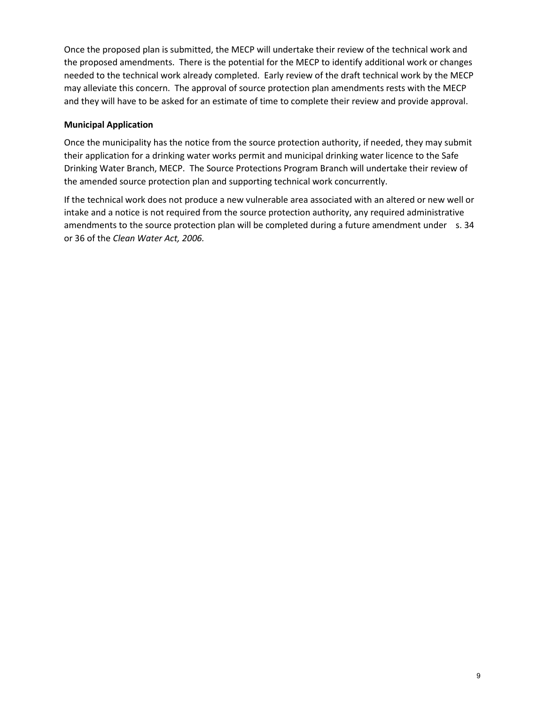Once the proposed plan is submitted, the MECP will undertake their review of the technical work and the proposed amendments. There is the potential for the MECP to identify additional work or changes needed to the technical work already completed. Early review of the draft technical work by the MECP may alleviate this concern. The approval of source protection plan amendments rests with the MECP and they will have to be asked for an estimate of time to complete their review and provide approval.

## **Municipal Application**

Once the municipality has the notice from the source protection authority, if needed, they may submit their application for a drinking water works permit and municipal drinking water licence to the Safe Drinking Water Branch, MECP. The Source Protections Program Branch will undertake their review of the amended source protection plan and supporting technical work concurrently.

If the technical work does not produce a new vulnerable area associated with an altered or new well or intake and a notice is not required from the source protection authority, any required administrative amendments to the source protection plan will be completed during a future amendment under s. 34 or 36 of the *Clean Water Act, 2006.*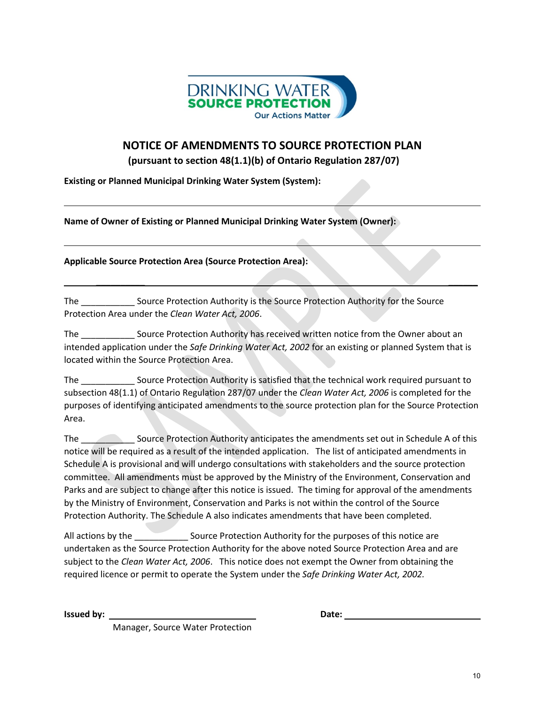

# **NOTICE OF AMENDMENTS TO SOURCE PROTECTION PLAN**

**(pursuant to section 48(1.1)(b) of Ontario Regulation 287/07)**

**Existing or Planned Municipal Drinking Water System (System):** 

**Name of Owner of Existing or Planned Municipal Drinking Water System (Owner):** 

**Applicable Source Protection Area (Source Protection Area):** 

The \_\_\_\_\_\_\_\_\_\_\_ Source Protection Authority is the Source Protection Authority for the Source Protection Area under the *Clean Water Act, 2006*.

The Source Protection Authority has received written notice from the Owner about an intended application under the *Safe Drinking Water Act, 2002* for an existing or planned System that is located within the Source Protection Area.

 $\frac{1}{2}$  , where  $\frac{1}{2}$  , where  $\frac{1}{2}$  , where  $\frac{1}{2}$  , where  $\frac{1}{2}$ 

The \_\_\_\_\_\_\_\_\_\_\_ Source Protection Authority is satisfied that the technical work required pursuant to subsection 48(1.1) of Ontario Regulation 287/07 under the *Clean Water Act, 2006* is completed for the purposes of identifying anticipated amendments to the source protection plan for the Source Protection Area.

The \_\_\_\_\_\_\_\_\_\_\_ Source Protection Authority anticipates the amendments set out in Schedule A of this notice will be required as a result of the intended application. The list of anticipated amendments in Schedule A is provisional and will undergo consultations with stakeholders and the source protection committee. All amendments must be approved by the Ministry of the Environment, Conservation and Parks and are subject to change after this notice is issued. The timing for approval of the amendments by the Ministry of Environment, Conservation and Parks is not within the control of the Source Protection Authority. The Schedule A also indicates amendments that have been completed.

All actions by the **EXA SOLE SOURCE Protection Authority for the purposes of this notice are** undertaken as the Source Protection Authority for the above noted Source Protection Area and are subject to the *Clean Water Act, 2006*. This notice does not exempt the Owner from obtaining the required licence or permit to operate the System under the *Safe Drinking Water Act, 2002.* 

**Issued by:**  $\qquad \qquad$  **Date:**  $\qquad \qquad$  **Date:**  $\qquad \qquad$ 

Manager, Source Water Protection